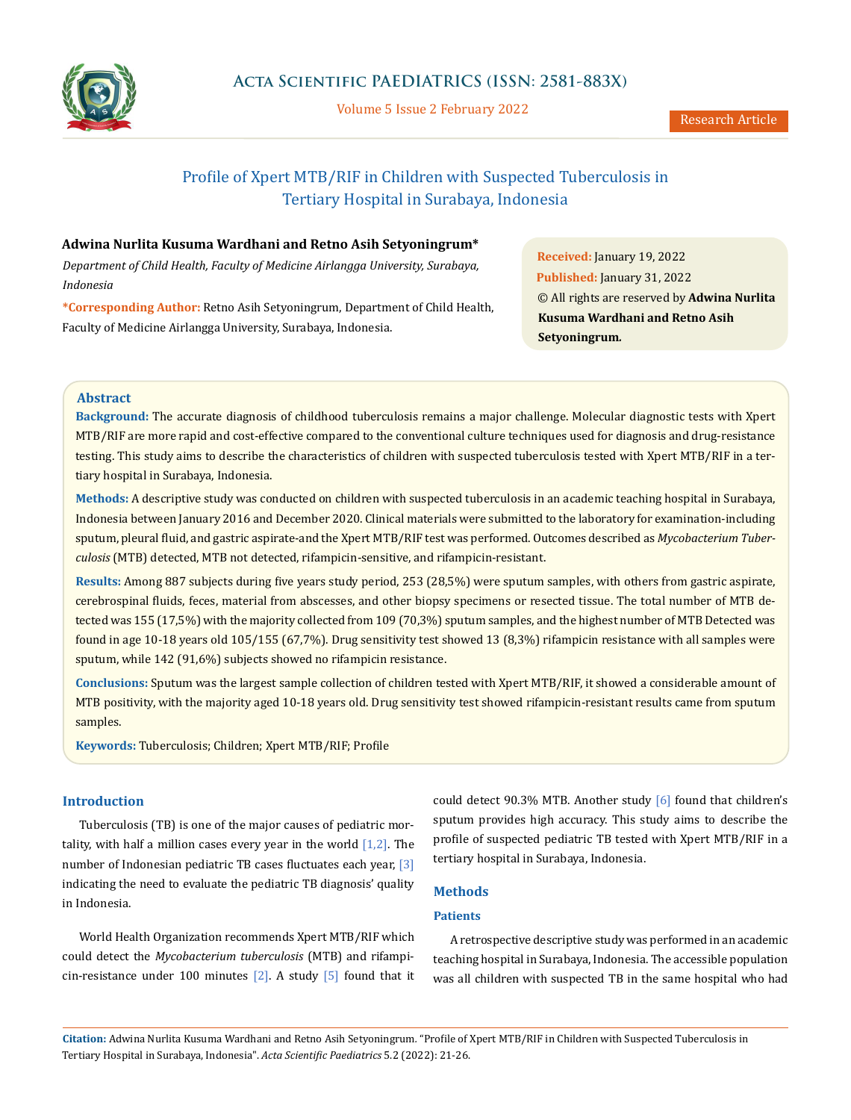

Volume 5 Issue 2 February 2022

# Profile of Xpert MTB/RIF in Children with Suspected Tuberculosis in Tertiary Hospital in Surabaya, Indonesia

# **Adwina Nurlita Kusuma Wardhani and Retno Asih Setyoningrum\***

*Department of Child Health, Faculty of Medicine Airlangga University, Surabaya, Indonesia*

**\*Corresponding Author:** Retno Asih Setyoningrum, Department of Child Health, Faculty of Medicine Airlangga University, Surabaya, Indonesia.

**Received:** January 19, 2022 **Published:** January 31, 2022 © All rights are reserved by **Adwina Nurlita Kusuma Wardhani and Retno Asih Setyoningrum***.*

#### **Abstract**

**Background:** The accurate diagnosis of childhood tuberculosis remains a major challenge. Molecular diagnostic tests with Xpert MTB/RIF are more rapid and cost-effective compared to the conventional culture techniques used for diagnosis and drug-resistance testing. This study aims to describe the characteristics of children with suspected tuberculosis tested with Xpert MTB/RIF in a tertiary hospital in Surabaya, Indonesia.

**Methods:** A descriptive study was conducted on children with suspected tuberculosis in an academic teaching hospital in Surabaya, Indonesia between January 2016 and December 2020. Clinical materials were submitted to the laboratory for examination-including sputum, pleural fluid, and gastric aspirate-and the Xpert MTB/RIF test was performed. Outcomes described as *Mycobacterium Tuberculosis* (MTB) detected, MTB not detected, rifampicin-sensitive, and rifampicin-resistant.

**Results:** Among 887 subjects during five years study period, 253 (28,5%) were sputum samples, with others from gastric aspirate, cerebrospinal fluids, feces, material from abscesses, and other biopsy specimens or resected tissue. The total number of MTB detected was 155 (17,5%) with the majority collected from 109 (70,3%) sputum samples, and the highest number of MTB Detected was found in age 10-18 years old 105/155 (67,7%). Drug sensitivity test showed 13 (8,3%) rifampicin resistance with all samples were sputum, while 142 (91,6%) subjects showed no rifampicin resistance.

**Conclusions:** Sputum was the largest sample collection of children tested with Xpert MTB/RIF, it showed a considerable amount of MTB positivity, with the majority aged 10-18 years old. Drug sensitivity test showed rifampicin-resistant results came from sputum samples.

**Keywords:** Tuberculosis; Children; Xpert MTB/RIF; Profile

# **Introduction**

Tuberculosis (TB) is one of the major causes of pediatric mortality, with half a million cases every year in the world  $[1,2]$ . The number of Indonesian pediatric TB cases fluctuates each year, [3] indicating the need to evaluate the pediatric TB diagnosis' quality in Indonesia.

World Health Organization recommends Xpert MTB/RIF which could detect the *Mycobacterium tuberculosis* (MTB) and rifampicin-resistance under 100 minutes  $[2]$ . A study  $[5]$  found that it could detect 90.3% MTB. Another study [6] found that children's sputum provides high accuracy. This study aims to describe the profile of suspected pediatric TB tested with Xpert MTB/RIF in a tertiary hospital in Surabaya, Indonesia.

### **Methods**

### **Patients**

A retrospective descriptive study was performed in an academic teaching hospital in Surabaya, Indonesia. The accessible population was all children with suspected TB in the same hospital who had

**Citation:** Adwina Nurlita Kusuma Wardhani and Retno Asih Setyoningrum*.* "Profile of Xpert MTB/RIF in Children with Suspected Tuberculosis in Tertiary Hospital in Surabaya, Indonesia". *Acta Scientific Paediatrics* 5.2 (2022): 21-26.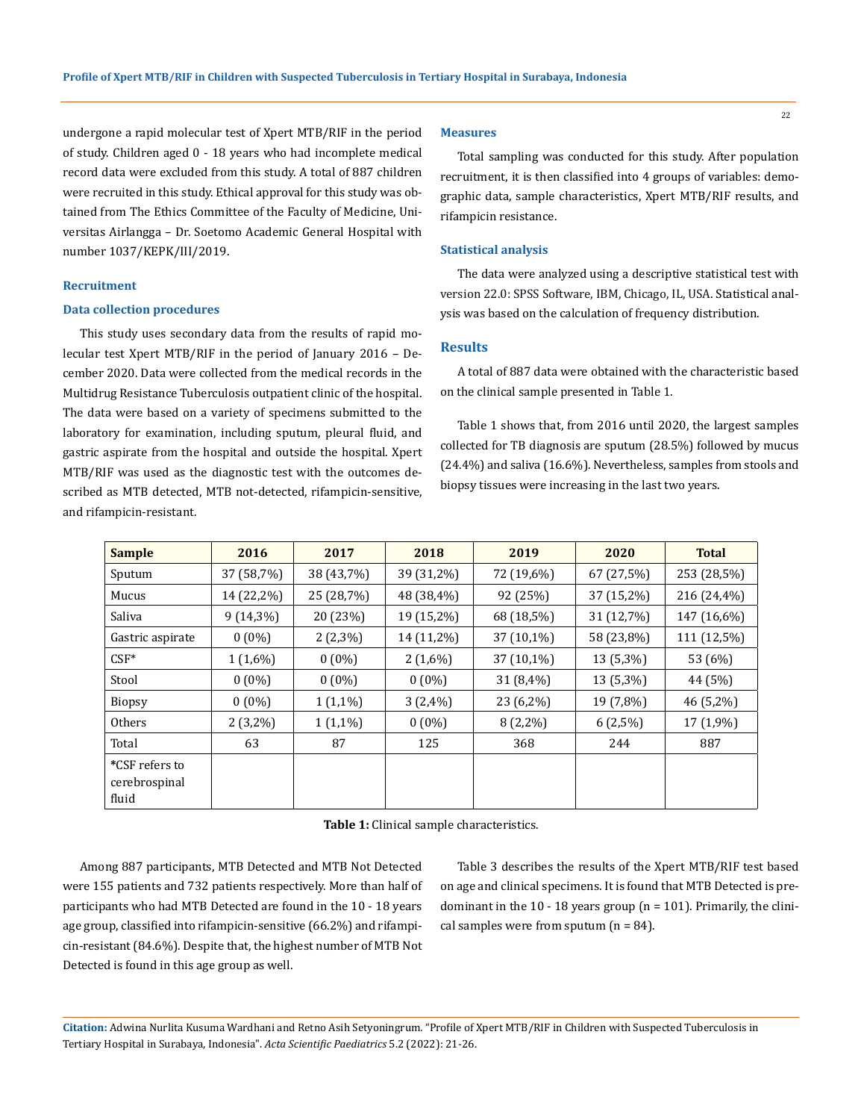undergone a rapid molecular test of Xpert MTB/RIF in the period of study. Children aged 0 - 18 years who had incomplete medical record data were excluded from this study. A total of 887 children were recruited in this study. Ethical approval for this study was obtained from The Ethics Committee of the Faculty of Medicine, Universitas Airlangga – Dr. Soetomo Academic General Hospital with number 1037/KEPK/III/2019.

#### **Recruitment**

#### **Data collection procedures**

This study uses secondary data from the results of rapid molecular test Xpert MTB/RIF in the period of January 2016 – December 2020. Data were collected from the medical records in the Multidrug Resistance Tuberculosis outpatient clinic of the hospital. The data were based on a variety of specimens submitted to the laboratory for examination, including sputum, pleural fluid, and gastric aspirate from the hospital and outside the hospital. Xpert MTB/RIF was used as the diagnostic test with the outcomes described as MTB detected, MTB not-detected, rifampicin-sensitive, and rifampicin-resistant.

#### **Measures**

Total sampling was conducted for this study. After population recruitment, it is then classified into 4 groups of variables: demographic data, sample characteristics, Xpert MTB/RIF results, and rifampicin resistance.

#### **Statistical analysis**

The data were analyzed using a descriptive statistical test with version 22.0: SPSS Software, IBM, Chicago, IL, USA. Statistical analysis was based on the calculation of frequency distribution.

#### **Results**

A total of 887 data were obtained with the characteristic based on the clinical sample presented in Table 1.

Table 1 shows that, from 2016 until 2020, the largest samples collected for TB diagnosis are sputum (28.5%) followed by mucus (24.4%) and saliva (16.6%). Nevertheless, samples from stools and biopsy tissues were increasing in the last two years.

| <b>Sample</b>                            | 2016        | 2017       | 2018       |             | 2020       | <b>Total</b> |  |
|------------------------------------------|-------------|------------|------------|-------------|------------|--------------|--|
| Sputum                                   | 37 (58,7%)  | 38 (43,7%) | 39 (31,2%) | 72 (19,6%)  | 67 (27,5%) | 253 (28,5%)  |  |
| Mucus                                    | 14 (22,2%)  | 25 (28,7%) | 48 (38,4%) | 92 (25%)    |            | 216 (24,4%)  |  |
| Saliva                                   | $9(14,3\%)$ | 20 (23%)   | 19 (15,2%) | 68 (18,5%)  | 31 (12,7%) | 147 (16,6%)  |  |
| Gastric aspirate                         | $0(0\%)$    | $2(2,3\%)$ | 14 (11,2%) | 37 (10,1%)  | 58 (23,8%) | 111 (12,5%)  |  |
| $CSF*$                                   | $1(1,6\%)$  | $0(0\%)$   | $2(1,6\%)$ | 37 (10,1%)  | 13 (5,3%)  | 53 (6%)      |  |
| Stool                                    | $0(0\%)$    | $0(0\%)$   | $0(0\%)$   | $31(8,4\%)$ | 13 (5,3%)  | 44 (5%)      |  |
| <b>Biopsy</b>                            | $0(0\%)$    | $1(1,1\%)$ | $3(2,4\%)$ | 23 (6,2%)   |            | 46 (5,2%)    |  |
| <b>Others</b>                            | $2(3,2\%)$  | $1(1,1\%)$ | $0(0\%)$   | $8(2,2\%)$  | $6(2,5\%)$ | 17 (1,9%)    |  |
| Total                                    | 63          | 87         | 125        | 368         | 244        | 887          |  |
| *CSF refers to<br>cerebrospinal<br>fluid |             |            |            |             |            |              |  |

**Table 1:** Clinical sample characteristics.

Among 887 participants, MTB Detected and MTB Not Detected were 155 patients and 732 patients respectively. More than half of participants who had MTB Detected are found in the 10 - 18 years age group, classified into rifampicin-sensitive (66.2%) and rifampicin-resistant (84.6%). Despite that, the highest number of MTB Not Detected is found in this age group as well.

Table 3 describes the results of the Xpert MTB/RIF test based on age and clinical specimens. It is found that MTB Detected is predominant in the  $10 - 18$  years group (n = 101). Primarily, the clinical samples were from sputum  $(n = 84)$ .

**Citation:** Adwina Nurlita Kusuma Wardhani and Retno Asih Setyoningrum*.* "Profile of Xpert MTB/RIF in Children with Suspected Tuberculosis in Tertiary Hospital in Surabaya, Indonesia". *Acta Scientific Paediatrics* 5.2 (2022): 21-26.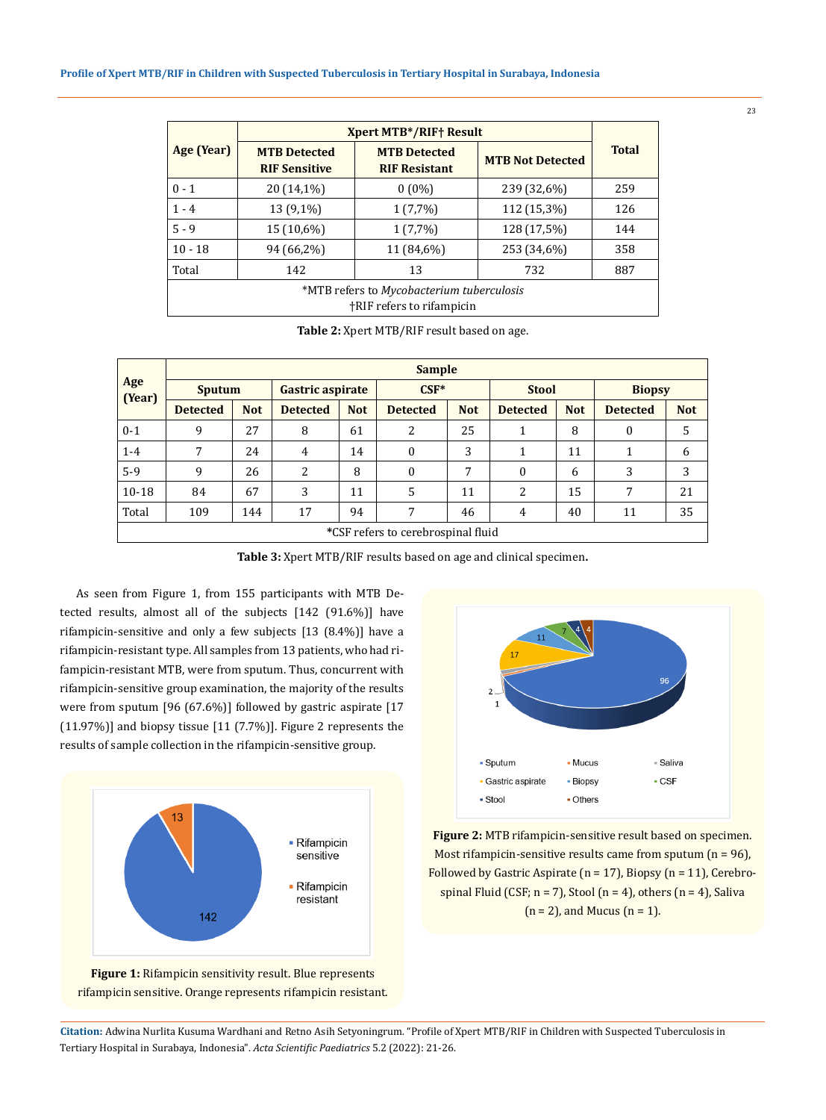|                                                                        | <b>Xpert MTB*/RIF+ Result</b>                                                              |            |                         |              |  |  |  |
|------------------------------------------------------------------------|--------------------------------------------------------------------------------------------|------------|-------------------------|--------------|--|--|--|
| Age (Year)                                                             | <b>MTB Detected</b><br><b>MTB Detected</b><br><b>RIF Sensitive</b><br><b>RIF Resistant</b> |            | <b>MTB Not Detected</b> | <b>Total</b> |  |  |  |
| $0 - 1$                                                                | 20 (14,1%)                                                                                 | $0(0\%)$   | 239 (32,6%)             | 259          |  |  |  |
| $1 - 4$                                                                | 13 (9,1%)                                                                                  | $1(7,7\%)$ | 112 (15,3%)             | 126          |  |  |  |
| $5 - 9$                                                                | 15 (10,6%)                                                                                 | $1(7,7\%)$ | 128 (17,5%)             | 144          |  |  |  |
| $10 - 18$                                                              | 94 (66,2%)                                                                                 | 11 (84,6%) | 253 (34,6%)             | 358          |  |  |  |
| Total                                                                  | 142                                                                                        | 13         | 732                     | 887          |  |  |  |
| *MTB refers to Mycobacterium tuberculosis<br>†RIF refers to rifampicin |                                                                                            |            |                         |              |  |  |  |

**Table 2:** Xpert MTB/RIF result based on age.

| Age<br>(Year)                      | <b>Sample</b>   |            |                  |            |                  |            |                 |            |                 |            |
|------------------------------------|-----------------|------------|------------------|------------|------------------|------------|-----------------|------------|-----------------|------------|
|                                    | <b>Sputum</b>   |            | Gastric aspirate |            | $CSF*$           |            | <b>Stool</b>    |            | <b>Biopsy</b>   |            |
|                                    | <b>Detected</b> | <b>Not</b> | <b>Detected</b>  | <b>Not</b> | <b>Detected</b>  | <b>Not</b> | <b>Detected</b> | <b>Not</b> | <b>Detected</b> | <b>Not</b> |
| $0 - 1$                            | 9               | 27         | 8                | 61         | 2                | 25         | 1               | 8          | $\Omega$        | 5          |
| $1-4$                              | 7               | 24         | 4                | 14         | $\theta$         | 3          |                 | 11         |                 | 6          |
| $5-9$                              | 9               | 26         | 2                | 8          | $\boldsymbol{0}$ | 7          | $\Omega$        | 6          | 3               | 3          |
| $10 - 18$                          | 84              | 67         | 3                | 11         | 5                | 11         | 2               | 15         | 7               | 21         |
| Total                              | 109             | 144        | 17               | 94         | 7                | 46         | 4               | 40         | 11              | 35         |
| *CCE rofore to corobrogninal fluid |                 |            |                  |            |                  |            |                 |            |                 |            |

**\***CSF refers to cerebrospinal fluid

**Table 3:** Xpert MTB/RIF results based on age and clinical specimen**.**

As seen from Figure 1, from 155 participants with MTB Detected results, almost all of the subjects [142 (91.6%)] have rifampicin-sensitive and only a few subjects [13 (8.4%)] have a rifampicin-resistant type. All samples from 13 patients, who had rifampicin-resistant MTB, were from sputum. Thus, concurrent with rifampicin-sensitive group examination, the majority of the results were from sputum [96 (67.6%)] followed by gastric aspirate [17 (11.97%)] and biopsy tissue [11 (7.7%)]. Figure 2 represents the results of sample collection in the rifampicin-sensitive group.







**Figure 2:** MTB rifampicin-sensitive result based on specimen. Most rifampicin-sensitive results came from sputum  $(n = 96)$ , Followed by Gastric Aspirate ( $n = 17$ ), Biopsy ( $n = 11$ ), Cerebrospinal Fluid (CSF;  $n = 7$ ), Stool ( $n = 4$ ), others ( $n = 4$ ), Saliva  $(n = 2)$ , and Mucus  $(n = 1)$ .

**Citation:** Adwina Nurlita Kusuma Wardhani and Retno Asih Setyoningrum*.* "Profile of Xpert MTB/RIF in Children with Suspected Tuberculosis in Tertiary Hospital in Surabaya, Indonesia". *Acta Scientific Paediatrics* 5.2 (2022): 21-26.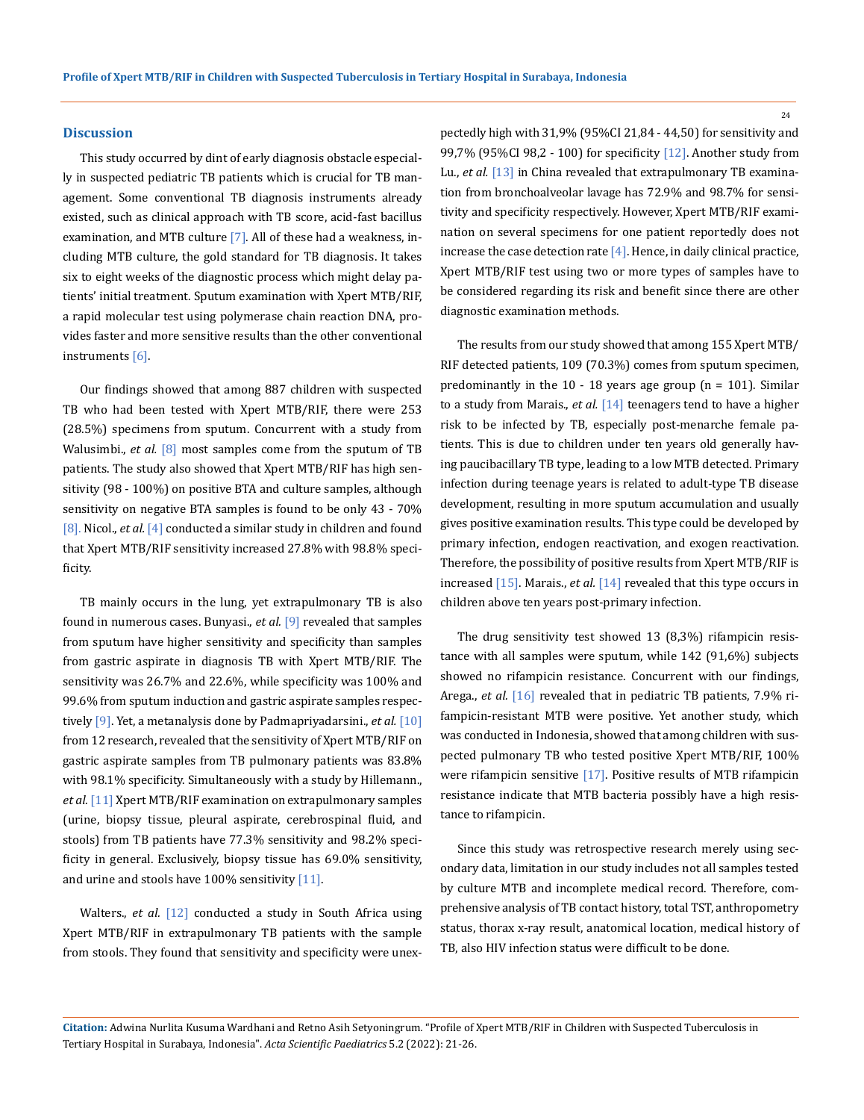#### **Discussion**

This study occurred by dint of early diagnosis obstacle especially in suspected pediatric TB patients which is crucial for TB management. Some conventional TB diagnosis instruments already existed, such as clinical approach with TB score, acid-fast bacillus examination, and MTB culture [7]. All of these had a weakness, including MTB culture, the gold standard for TB diagnosis. It takes six to eight weeks of the diagnostic process which might delay patients' initial treatment. Sputum examination with Xpert MTB/RIF, a rapid molecular test using polymerase chain reaction DNA, provides faster and more sensitive results than the other conventional instruments [6].

Our findings showed that among 887 children with suspected TB who had been tested with Xpert MTB/RIF, there were 253 (28.5%) specimens from sputum. Concurrent with a study from Walusimbi., *et al.* [8] most samples come from the sputum of TB patients. The study also showed that Xpert MTB/RIF has high sensitivity (98 - 100%) on positive BTA and culture samples, although sensitivity on negative BTA samples is found to be only 43 - 70% [8]. Nicol., *et al.* [4] conducted a similar study in children and found that Xpert MTB/RIF sensitivity increased 27.8% with 98.8% specificity.

TB mainly occurs in the lung, yet extrapulmonary TB is also found in numerous cases. Bunyasi., *et al.* [9] revealed that samples from sputum have higher sensitivity and specificity than samples from gastric aspirate in diagnosis TB with Xpert MTB/RIF. The sensitivity was 26.7% and 22.6%, while specificity was 100% and 99.6% from sputum induction and gastric aspirate samples respectively [9]. Yet, a metanalysis done by Padmapriyadarsini., *et al.* [10] from 12 research, revealed that the sensitivity of Xpert MTB/RIF on gastric aspirate samples from TB pulmonary patients was 83.8% with 98.1% specificity. Simultaneously with a study by Hillemann., *et al.* [11] Xpert MTB/RIF examination on extrapulmonary samples (urine, biopsy tissue, pleural aspirate, cerebrospinal fluid, and stools) from TB patients have 77.3% sensitivity and 98.2% specificity in general. Exclusively, biopsy tissue has 69.0% sensitivity, and urine and stools have 100% sensitivity [11].

Walters., *et al.* [12] conducted a study in South Africa using Xpert MTB/RIF in extrapulmonary TB patients with the sample from stools. They found that sensitivity and specificity were unexpectedly high with 31,9% (95%CI 21,84 - 44,50) for sensitivity and 99,7% (95%CI 98,2 - 100) for specificity [12]. Another study from Lu., *et al.* [13] in China revealed that extrapulmonary TB examination from bronchoalveolar lavage has 72.9% and 98.7% for sensitivity and specificity respectively. However, Xpert MTB/RIF examination on several specimens for one patient reportedly does not increase the case detection rate  $[4]$ . Hence, in daily clinical practice, Xpert MTB/RIF test using two or more types of samples have to be considered regarding its risk and benefit since there are other diagnostic examination methods.

The results from our study showed that among 155 Xpert MTB/ RIF detected patients, 109 (70.3%) comes from sputum specimen, predominantly in the  $10 - 18$  years age group (n = 101). Similar to a study from Marais., *et al.* [14] teenagers tend to have a higher risk to be infected by TB, especially post-menarche female patients. This is due to children under ten years old generally having paucibacillary TB type, leading to a low MTB detected. Primary infection during teenage years is related to adult-type TB disease development, resulting in more sputum accumulation and usually gives positive examination results. This type could be developed by primary infection, endogen reactivation, and exogen reactivation. Therefore, the possibility of positive results from Xpert MTB/RIF is increased [15]. Marais., *et al.* [14] revealed that this type occurs in children above ten years post-primary infection.

The drug sensitivity test showed 13 (8,3%) rifampicin resistance with all samples were sputum, while 142 (91,6%) subjects showed no rifampicin resistance. Concurrent with our findings, Arega., *et al.* [16] revealed that in pediatric TB patients, 7.9% rifampicin-resistant MTB were positive. Yet another study, which was conducted in Indonesia, showed that among children with suspected pulmonary TB who tested positive Xpert MTB/RIF, 100% were rifampicin sensitive [17]. Positive results of MTB rifampicin resistance indicate that MTB bacteria possibly have a high resistance to rifampicin.

Since this study was retrospective research merely using secondary data, limitation in our study includes not all samples tested by culture MTB and incomplete medical record. Therefore, comprehensive analysis of TB contact history, total TST, anthropometry status, thorax x-ray result, anatomical location, medical history of TB, also HIV infection status were difficult to be done.

**Citation:** Adwina Nurlita Kusuma Wardhani and Retno Asih Setyoningrum*.* "Profile of Xpert MTB/RIF in Children with Suspected Tuberculosis in Tertiary Hospital in Surabaya, Indonesia". *Acta Scientific Paediatrics* 5.2 (2022): 21-26.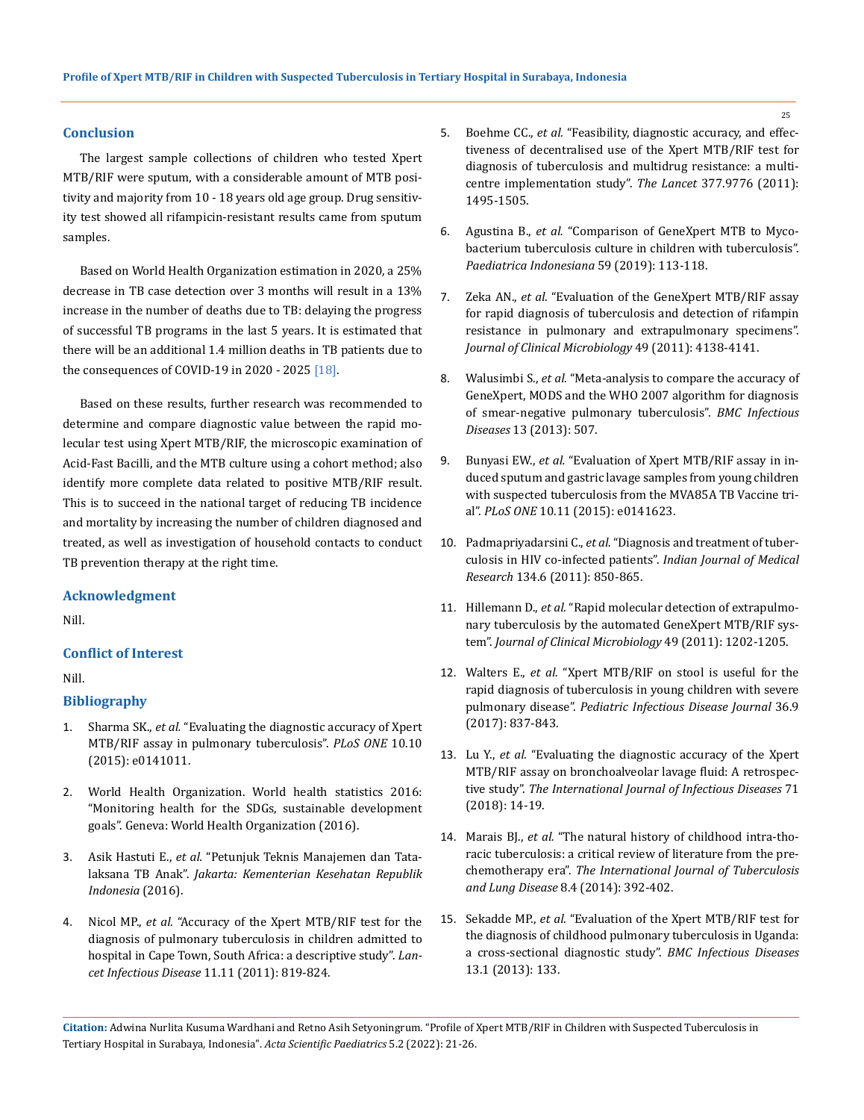#### **Conclusion**

The largest sample collections of children who tested Xpert MTB/RIF were sputum, with a considerable amount of MTB positivity and majority from 10 - 18 years old age group. Drug sensitivity test showed all rifampicin-resistant results came from sputum samples.

Based on World Health Organization estimation in 2020, a 25% decrease in TB case detection over 3 months will result in a 13% increase in the number of deaths due to TB: delaying the progress of successful TB programs in the last 5 years. It is estimated that there will be an additional 1.4 million deaths in TB patients due to the consequences of COVID-19 in 2020 - 2025  $[18]$ .

Based on these results, further research was recommended to determine and compare diagnostic value between the rapid molecular test using Xpert MTB/RIF, the microscopic examination of Acid-Fast Bacilli, and the MTB culture using a cohort method; also identify more complete data related to positive MTB/RIF result. This is to succeed in the national target of reducing TB incidence and mortality by increasing the number of children diagnosed and treated, as well as investigation of household contacts to conduct TB prevention therapy at the right time.

#### **Acknowledgment**

Nill.

## **Conflict of Interest**

#### Nill.

#### **Bibliography**

- 1. Sharma SK., *et al.* ["Evaluating the diagnostic accuracy of Xpert](https://pubmed.ncbi.nlm.nih.gov/26496123/)  [MTB/RIF assay in pulmonary tuberculosis".](https://pubmed.ncbi.nlm.nih.gov/26496123/) *PLoS ONE* 10.10 [\(2015\): e0141011.](https://pubmed.ncbi.nlm.nih.gov/26496123/)
- 2. [World Health Organization. World health statistics 2016:](https://apps.who.int/iris/handle/10665/332070)  ["Monitoring health for the SDGs, sustainable development](https://apps.who.int/iris/handle/10665/332070)  [goals". Geneva: World Health Organization \(2016\).](https://apps.who.int/iris/handle/10665/332070)
- 3. Asik Hastuti E., *et al.* ["Petunjuk Teknis Manajemen dan Tata](https://tbindonesia.or.id/pustaka/pedoman/tb-anak/petunjuk-teknis-manajemen-dan-tatalaksana-tb-anak/)laksana TB Anak". *Jakarta: [Kementerian Kesehatan Republik](https://tbindonesia.or.id/pustaka/pedoman/tb-anak/petunjuk-teknis-manajemen-dan-tatalaksana-tb-anak/)  [Indonesia](https://tbindonesia.or.id/pustaka/pedoman/tb-anak/petunjuk-teknis-manajemen-dan-tatalaksana-tb-anak/)* (2016).
- 4. Nicol MP., *et al.* ["Accuracy of the Xpert MTB/RIF test for the](https://pubmed.ncbi.nlm.nih.gov/21764384/)  [diagnosis of pulmonary tuberculosis in children admitted to](https://pubmed.ncbi.nlm.nih.gov/21764384/)  [hospital in Cape Town, South Africa: a descriptive study".](https://pubmed.ncbi.nlm.nih.gov/21764384/) *Lancet Infectious Disease* [11.11 \(2011\): 819-824.](https://pubmed.ncbi.nlm.nih.gov/21764384/)
- 5. Boehme CC., *et al.* ["Feasibility, diagnostic accuracy, and effec](https://pubmed.ncbi.nlm.nih.gov/21507477/)[tiveness of decentralised use of the Xpert MTB/RIF test for](https://pubmed.ncbi.nlm.nih.gov/21507477/)  [diagnosis of tuberculosis and multidrug resistance: a multi](https://pubmed.ncbi.nlm.nih.gov/21507477/)[centre implementation study".](https://pubmed.ncbi.nlm.nih.gov/21507477/) *The Lancet* 377.9776 (2011): [1495-1505.](https://pubmed.ncbi.nlm.nih.gov/21507477/)
- 6. Agustina B., *et al.* ["Comparison of GeneXpert MTB to Myco](https://paediatricaindonesiana.org/index.php/paediatrica-indonesiana/article/view/2144)[bacterium tuberculosis culture in children with tuberculosis".](https://paediatricaindonesiana.org/index.php/paediatrica-indonesiana/article/view/2144)  *[Paediatrica Indonesiana](https://paediatricaindonesiana.org/index.php/paediatrica-indonesiana/article/view/2144)* 59 (2019): 113-118.
- 7. Zeka AN., *et al.* ["Evaluation of the GeneXpert MTB/RIF assay](https://www.ncbi.nlm.nih.gov/pmc/articles/PMC3232962/)  [for rapid diagnosis of tuberculosis and detection of rifampin](https://www.ncbi.nlm.nih.gov/pmc/articles/PMC3232962/)  [resistance in pulmonary and extrapulmonary specimens".](https://www.ncbi.nlm.nih.gov/pmc/articles/PMC3232962/)  *[Journal of Clinical Microbiology](https://www.ncbi.nlm.nih.gov/pmc/articles/PMC3232962/)* 49 (2011): 4138-4141.
- 8. Walusimbi S., *et al.* ["Meta-analysis to compare the accuracy of](https://bmcinfectdis.biomedcentral.com/articles/10.1186/1471-2334-13-507)  [GeneXpert, MODS and the WHO 2007 algorithm for diagnosis](https://bmcinfectdis.biomedcentral.com/articles/10.1186/1471-2334-13-507)  [of smear-negative pulmonary tuberculosis".](https://bmcinfectdis.biomedcentral.com/articles/10.1186/1471-2334-13-507) *BMC Infectious Diseases* [13 \(2013\): 507.](https://bmcinfectdis.biomedcentral.com/articles/10.1186/1471-2334-13-507)
- 9. Bunyasi EW., *et al.* ["Evaluation of Xpert MTB/RIF assay in in](https://pubmed.ncbi.nlm.nih.gov/26554383/)[duced sputum and gastric lavage samples from young children](https://pubmed.ncbi.nlm.nih.gov/26554383/)  [with suspected tuberculosis from the MVA85A TB Vaccine tri](https://pubmed.ncbi.nlm.nih.gov/26554383/)al". *PLoS ONE* [10.11 \(2015\): e0141623.](https://pubmed.ncbi.nlm.nih.gov/26554383/)
- 10. Padmapriyadarsini C., *et al.* ["Diagnosis and treatment of tuber](https://pubmed.ncbi.nlm.nih.gov/22310818/)[culosis in HIV co-infected patients".](https://pubmed.ncbi.nlm.nih.gov/22310818/) *Indian Journal of Medical Research* [134.6 \(2011\): 850-865.](https://pubmed.ncbi.nlm.nih.gov/22310818/)
- 11. Hillemann D., *et al.* ["Rapid molecular detection of extrapulmo](https://pubmed.ncbi.nlm.nih.gov/21270230/)[nary tuberculosis by the automated GeneXpert MTB/RIF sys](https://pubmed.ncbi.nlm.nih.gov/21270230/)tem". *[Journal of Clinical Microbiology](https://pubmed.ncbi.nlm.nih.gov/21270230/)* 49 (2011): 1202-1205.
- 12. Walters E., *et al.* ["Xpert MTB/RIF on stool is useful for the](https://pubmed.ncbi.nlm.nih.gov/28151842/)  [rapid diagnosis of tuberculosis in young children with severe](https://pubmed.ncbi.nlm.nih.gov/28151842/)  pulmonary disease". *[Pediatric Infectious Disease Journal](https://pubmed.ncbi.nlm.nih.gov/28151842/)* 36.9 [\(2017\): 837-843.](https://pubmed.ncbi.nlm.nih.gov/28151842/)
- 13. Lu Y., *et al.* ["Evaluating the diagnostic accuracy of the Xpert](https://pubmed.ncbi.nlm.nih.gov/29428408/)  [MTB/RIF assay on bronchoalveolar lavage fluid: A retrospec](https://pubmed.ncbi.nlm.nih.gov/29428408/)tive study". *[The International Journal of Infectious Diseases](https://pubmed.ncbi.nlm.nih.gov/29428408/)* 71 [\(2018\): 14-19.](https://pubmed.ncbi.nlm.nih.gov/29428408/)
- 14. Marais BJ., *et al.* ["The natural history of childhood intra-tho](https://pubmed.ncbi.nlm.nih.gov/15141729/)[racic tuberculosis: a critical review of literature from the pre](https://pubmed.ncbi.nlm.nih.gov/15141729/)chemotherapy era". *[The International Journal of Tuberculosis](https://pubmed.ncbi.nlm.nih.gov/15141729/)  [and Lung Disease](https://pubmed.ncbi.nlm.nih.gov/15141729/)* 8.4 (2014): 392-402.
- 15. Sekadde MP., *et al.* ["Evaluation of the Xpert MTB/RIF test for](https://bmcinfectdis.biomedcentral.com/articles/10.1186/1471-2334-13-133)  [the diagnosis of childhood pulmonary tuberculosis in Uganda:](https://bmcinfectdis.biomedcentral.com/articles/10.1186/1471-2334-13-133)  [a cross-sectional diagnostic study".](https://bmcinfectdis.biomedcentral.com/articles/10.1186/1471-2334-13-133) *BMC Infectious Diseases* [13.1 \(2013\): 133.](https://bmcinfectdis.biomedcentral.com/articles/10.1186/1471-2334-13-133)

**Citation:** Adwina Nurlita Kusuma Wardhani and Retno Asih Setyoningrum*.* "Profile of Xpert MTB/RIF in Children with Suspected Tuberculosis in Tertiary Hospital in Surabaya, Indonesia". *Acta Scientific Paediatrics* 5.2 (2022): 21-26.